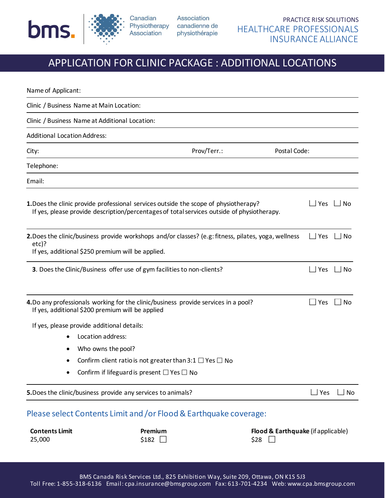

Association Physiotherapy canadienne de physiothérapie

# APPLICATION FOR CLINIC PACKAGE : ADDITIONAL LOCATIONS

| Name of Applicant:                                                                                                                                 |                                                                                                      |                                    |
|----------------------------------------------------------------------------------------------------------------------------------------------------|------------------------------------------------------------------------------------------------------|------------------------------------|
| Clinic / Business Name at Main Location:                                                                                                           |                                                                                                      |                                    |
| Clinic / Business Name at Additional Location:                                                                                                     |                                                                                                      |                                    |
| <b>Additional Location Address:</b>                                                                                                                |                                                                                                      |                                    |
| City:                                                                                                                                              | Prov/Terr.:                                                                                          | Postal Code:                       |
| Telephone:                                                                                                                                         |                                                                                                      |                                    |
| Email:                                                                                                                                             |                                                                                                      |                                    |
| 1. Does the clinic provide professional services outside the scope of physiotherapy?                                                               | If yes, please provide description/percentages of total services outside of physiotherapy.           | Yes<br>$\sqcap$ No                 |
| $etc$ )?<br>If yes, additional \$250 premium will be applied.                                                                                      | 2. Does the clinic/business provide workshops and/or classes? (e.g: fitness, pilates, yoga, wellness | $\Box$ Yes<br>l INo                |
| 3. Does the Clinic/Business offer use of gym facilities to non-clients?                                                                            |                                                                                                      | $\sqcup$ Yes<br>l No               |
| 4. Do any professionals working for the clinic/business provide services in a pool?<br>If yes, additional \$200 premium will be applied            |                                                                                                      | $\Box$ Yes<br>l INo                |
| If yes, please provide additional details:<br>Location address:<br>Who owns the pool?<br>٠<br>Confirm if lifeguard is present $\Box$ Yes $\Box$ No | Confirm client ratio is not greater than 3:1 $\Box$ Yes $\Box$ No                                    |                                    |
| 5. Does the clinic/business provide any services to animals?                                                                                       |                                                                                                      | $\Box$ Yes<br>⊿ No                 |
| Please select Contents Limit and /or Flood & Earthquake coverage:                                                                                  |                                                                                                      |                                    |
| <b>Contents Limit</b><br>25,000                                                                                                                    | Premium<br>$$182$ $\square$<br>\$28                                                                  | Flood & Earthquake (if applicable) |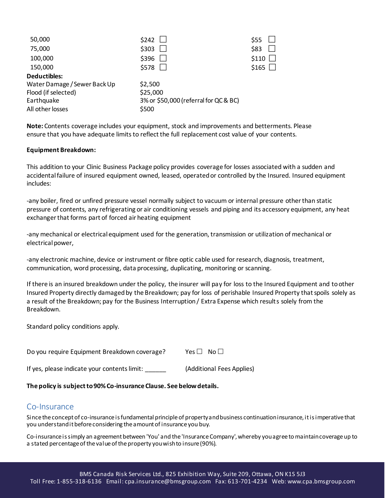| 50,000                       | \$242                                 | \$55          |
|------------------------------|---------------------------------------|---------------|
| 75,000                       | \$303                                 | \$83          |
| 100,000                      | \$396                                 | \$110         |
| 150,000                      | \$578                                 | $$165$ $\Box$ |
| Deductibles:                 |                                       |               |
| Water Damage / Sewer Back Up | \$2,500                               |               |
| Flood (if selected)          | \$25,000                              |               |
| Earthquake                   | 3% or \$50,000 (referral for QC & BC) |               |
| All other losses             | \$500                                 |               |

**Note:** Contents coverage includes your equipment, stock and improvements and betterments. Please ensure that you have adequate limits to reflect the full replacement cost value of your contents.

#### **Equipment Breakdown:**

This addition to your Clinic Business Package policy provides coverage for losses associated with a sudden and accidental failure of insured equipment owned, leased, operated or controlled by the Insured. Insured equipment includes:

-any boiler, fired or unfired pressure vessel normally subject to vacuum or internal pressure other than static pressure of contents, any refrigerating or air conditioning vessels and piping and its accessory equipment, any heat exchanger that forms part of forced air heating equipment

-any mechanical or electrical equipment used for the generation, transmission or utilization of mechanical or electrical power,

-any electronic machine, device or instrument or fibre optic cable used for research, diagnosis, treatment, communication, word processing, data processing, duplicating, monitoring or scanning.

If there is an insured breakdown under the policy, the insurer will pay for loss to the Insured Equipment and to other Insured Property directly damaged by the Breakdown; pay for loss of perishable Insured Property that spoils solely as a result of the Breakdown; pay for the Business Interruption / Extra Expense which results solely from the Breakdown.

Standard policy conditions apply.

| Do you require Equipment Breakdown coverage? | Yes $\Box$ No $\Box$ |  |
|----------------------------------------------|----------------------|--|
|                                              |                      |  |

If yes, please indicate your contents limit: \_\_\_\_\_\_ (Additional Fees Applies)

#### **The policy is subject to 90% Co-insurance Clause. See belowdetails.**

### Co-Insurance

Since the concept of co-insurance is fundamental principle of property and business continuation insurance, it is imperative that you understand it before considering the amount of insurance you buy.

Co-insurance is simply an agreement between 'You' and the 'Insurance Company', whereby you agree to maintain coverage up to a stated percentage of the value of the property you wish to insure (90%).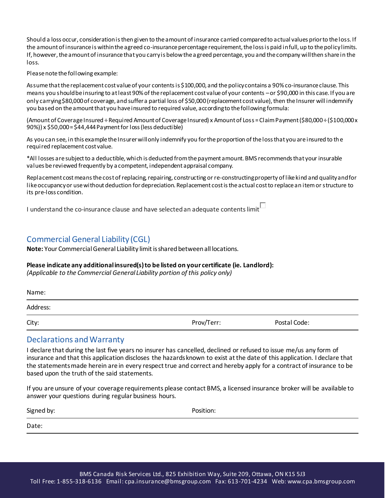Should a loss occur, consideration is then given to the amount of insurance carried compared to actual values prior to the loss. If the amount of insurance is within the agreed co-insurance percentage requirement, the loss is paid in full, up to the policy limits. If, however, the amount of insurance that you carry is below the agreed percentage, you and the company will then share in the loss.

Please note the following example:

Assume that the replacement cost value of your contents is \$100,000, and the policy contains a 90% co-insurance clause. This means you should be insuring to at least 90% of the replacement cost value of your contents –or \$90,000 in this case. If you are only carrying \$80,000 of coverage, and suffer a partial loss of \$50,000 (replacement cost value), then the Insurer will indemnify you based on the amount that you have insured to required value, according to the following formula:

(Amount of Coverage Insured ÷ Required Amount of Coverage Insured) x Amount of Loss = Claim Payment (\$80,000 ÷ (\$100,000 x 90%)) x \$50,000 = \$44,444 Payment for loss (less deductible)

As you can see, in this example the Insurer will only indemnify you for the proportion of the loss that you are insured to the required replacement cost value.

\*All losses are subject to a deductible, which is deducted from the payment amount. BMS recommends that your insurable values be reviewed frequently by a competent, independent appraisal company.

Replacement cost means the cost of replacing, repairing, constructing or re-constructing property of like kind and quality and for like occupancy or use without deduction for depreciation. Replacement cost is the actual cost to replace an item or structure to its pre-loss condition.

I understand the co-insurance clause and have selected an adequate contents limit $\Box$ 

## Commercial General Liability (CGL)

**Note:** Your Commercial General Liability limit is shared between all locations.

#### **Please indicate any additional insured(s) to be listed on your certificate (ie. Landlord):**

*(Applicable to the Commercial General Liability portion of this policy only)*

| Name:    |            |              |  |
|----------|------------|--------------|--|
| Address: |            |              |  |
| City:    | Prov/Terr: | Postal Code: |  |

## Declarations and Warranty

I declare that during the last five years no insurer has cancelled, declined or refused to issue me/us any form of insurance and that this application discloses the hazards known to exist at the date of this application. I declare that the statements made herein are in every respect true and correct and hereby apply for a contract of insurance to be based upon the truth of the said statements.

If you are unsure of your coverage requirements please contact BMS, a licensed insurance broker will be available to answer your questions during regular business hours.

| Signed by: | Position: |
|------------|-----------|
| Date:      |           |